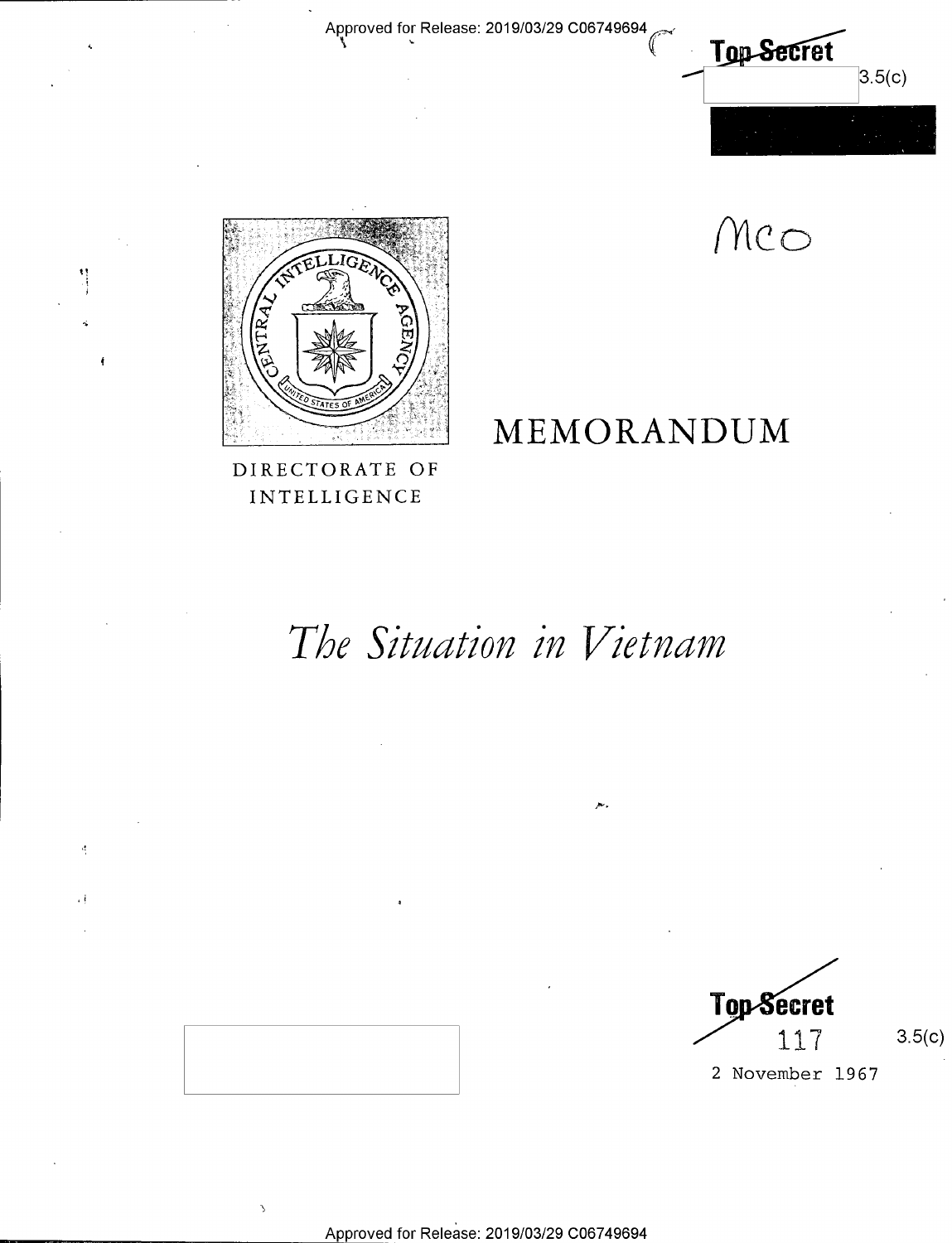Approved for Release: 2019/03/29 C06749694



Mco

MEMORANDUM



t,

 $\frac{1}{2}$ 

DIRECTORATE OF INTELLIGENCE

# The Situation in Vietnam

**Top Secret** 117

 $3.5(c)$ 

2 November 1967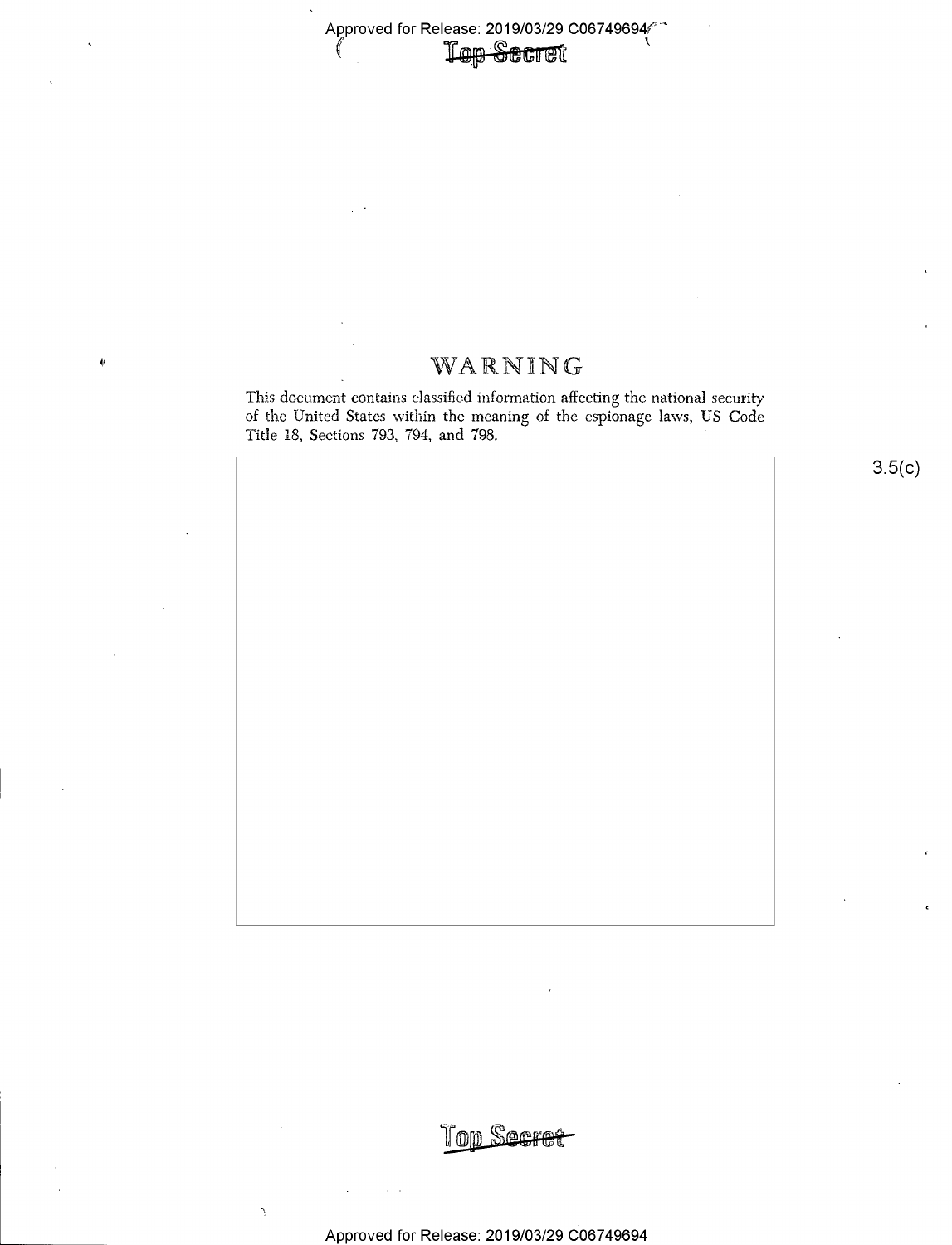# Approved for Release: 2019/03/29 C06749694

## ~ WARNWG

This document contains classified information affecting the national security of the United States within the meaning of the espionage laws, US Code Title 18, Sections 793, 794, and 798.

 $3.5(c)$ 

 $\mathcal{L}$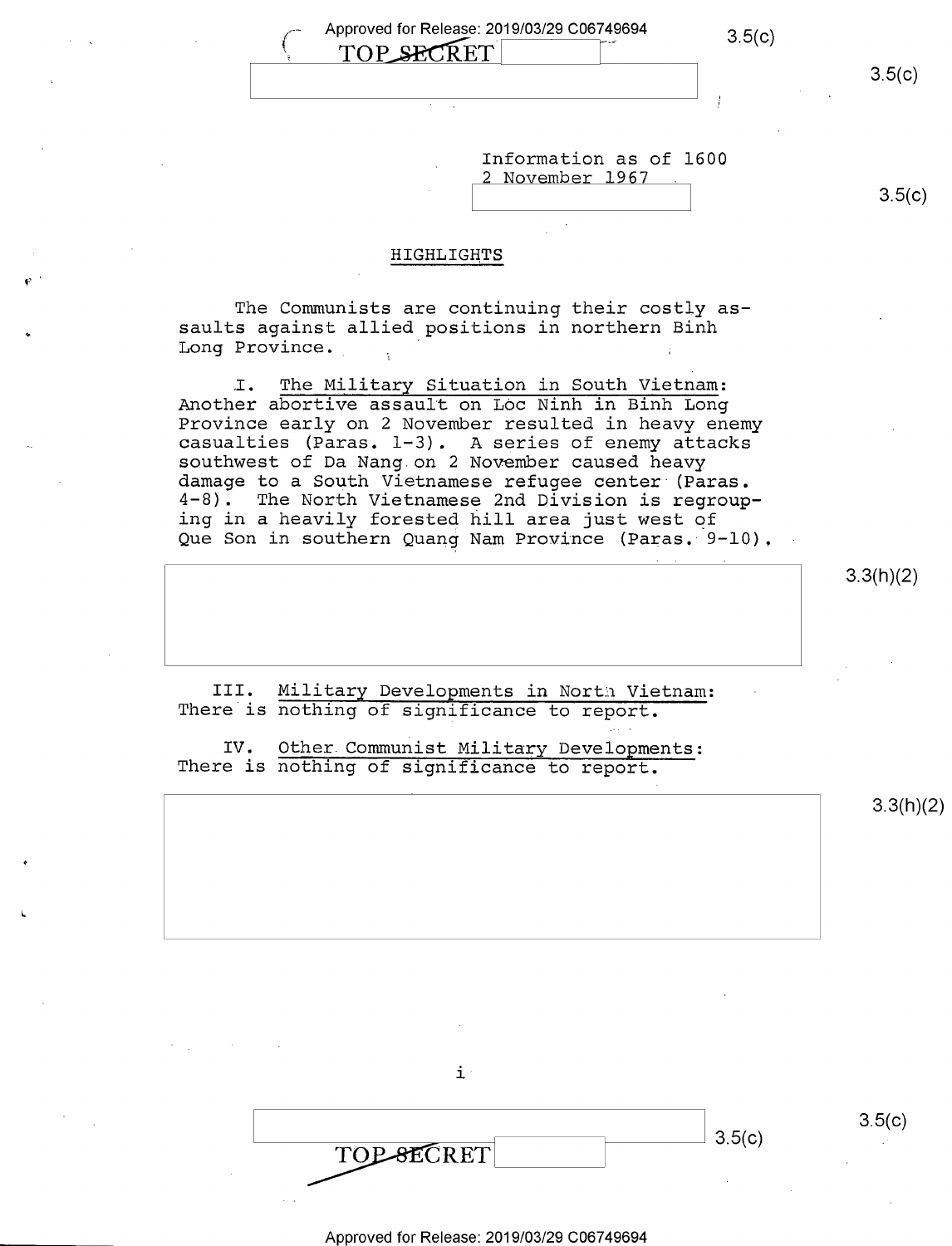| Approved for Release: 2019/03/29 C06749694<br>TOP_SECRET | 3.5(c) |        |
|----------------------------------------------------------|--------|--------|
|                                                          |        | 3.5(c) |
|                                                          |        |        |
|                                                          |        |        |

| Information as of 1600 |        |
|------------------------|--------|
| 2 November 1967        |        |
|                        | 3.5(c) |

#### HIGHLIGHTS

The Communists are continuing their costly as saults against allied positions in northern Binh Long Province. '

I. The Military Situation in South Vietnam: Another abortive assault on Loc Ninh in Binh Long casualties (Paras.  $l-3$ ). A series of enemy attacks southwest of Da Nang on 2 November caused heavy damage to a South Vietnamese refugee center (Paras.<br>4-8). The North Vietnamese 2nd Division is regroup The North Vietnamese 2nd Division is regrouping in a heavily forested hill area just west of Que Son in southern Quang Nam Province (Paras. 9-10).

3.3(h)(2)

III. Military Developments in North Vietnam:<br>There is nothing of significance to report.

IV. Other Communist Military Developments: There is nothing of significance to report.

 $3.3(h)(2)$ 

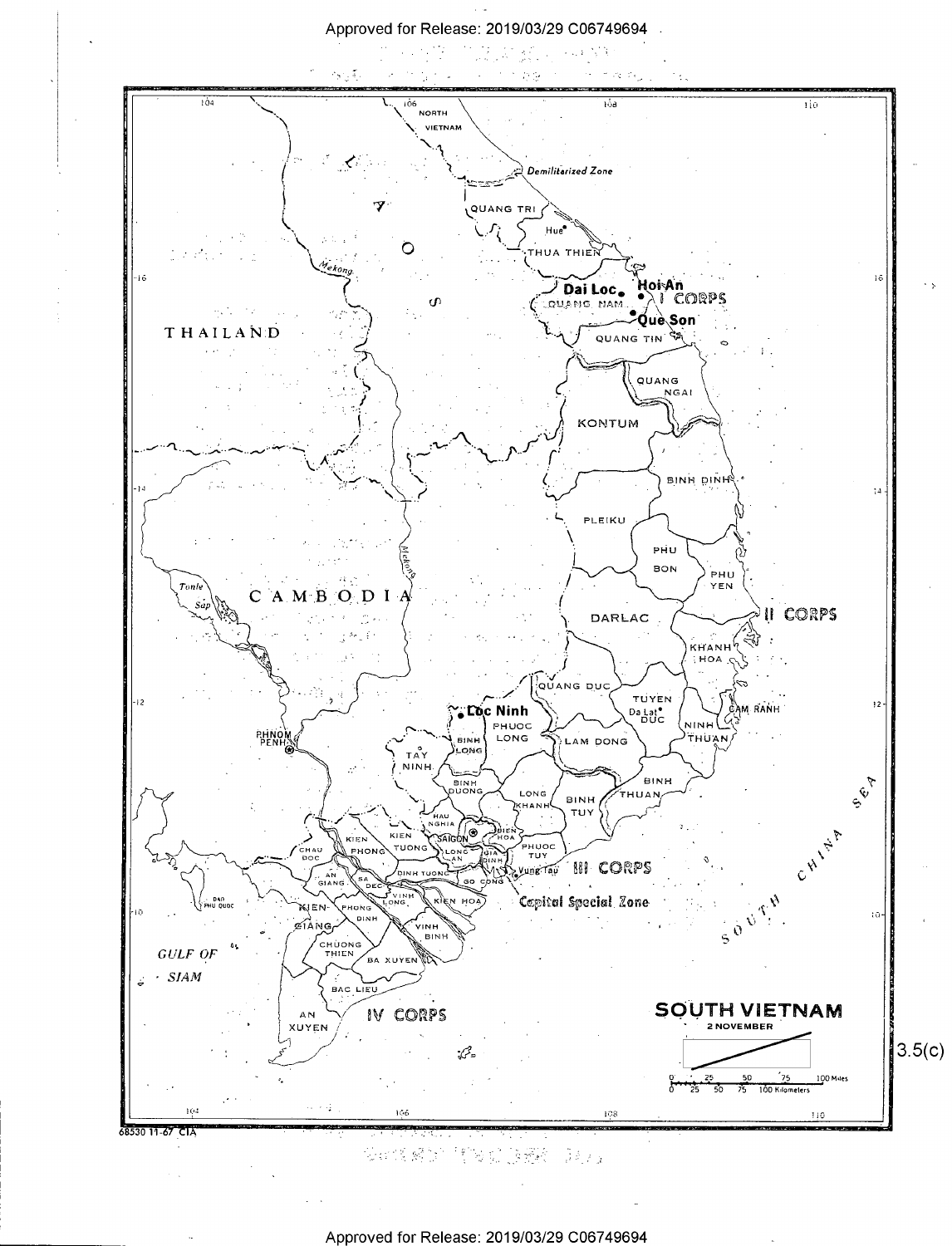

安排传感的 情况提高接收 医心室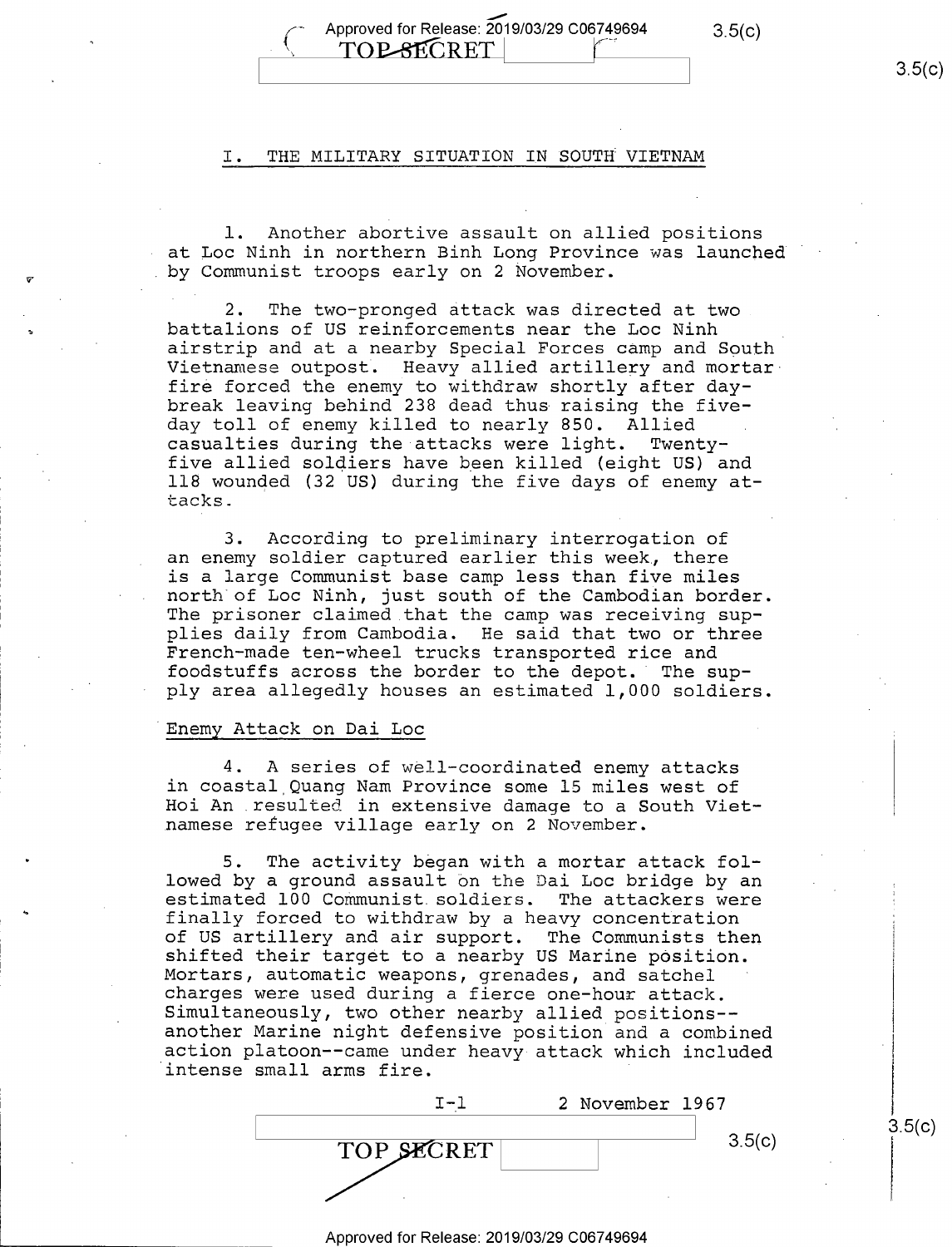#### I. THE MILITARY SITUATION IN SOUTH VIETNAM

l. Another abortive assault on allied positions at Loc Ninh in northern Binh Long Province was launched ' by Communist troops early on 2 November.

2. The two-pronged attack was directed at two battalions of US reinforcements near the Loc Ninh<br>airstrip and at a nearby Special Forces camp and South Vietnamese outpost. Heavy allied artillery and mortar fire forced the enemy to withdraw shortly after daybreak leaving behind 238 dead thus raising the five-<br>day toll of enemy killed to nearly 850. Allied day toll of enemy killed to nearly 850. Allied<br>casualties during the attacks were light. Twentycasualties during the attacks were light. five allied soldiers have been killed (eight US) and ll8 wounded (32 US) during the five days of enemy attacks.

3. According to preliminary interrogation of an enemy soldier captured earlier this week, there<br>is a large Communist base camp less than five miles north of Loc Ninh, just south of the Cambodian border. The prisoner claimed that the camp was receiving sup-<br>plies daily from Cambodia. He said that two or three French-made ten-wheel trucks transported rice and foodstuffs across the border to the depot. The supply area allegedly houses an estimated 1,000 soldiers.

#### Enemy Attack on Dai Loc

V, .

4. A series of well—coordinated enemy attacks in coastal Quang Nam Province some l5 miles west of Hoi An .resulted in extensive damage to a South Viet- .namese refugee village early on 2 November.

5. The activity began with a mortar attack fol-<br>lowed by a ground assault on the Dai Loc bridge by an estimated 100 Communist soldiers. The attackers were finally forced to withdraw by a heavy concentration<br>of US artillery and air support. The Communists then shifted their target to a nearby US Marine position. Mortars, automatic weapons, grenades, and satchel ' charges were used during a fierce one—hour attack. Simultaneously, two other nearby allied positions--<br>another Marine night defensive position and a combined action platoon--came under heavy attack which included intense small arms fire.

|            | 2 November 1967 |
|------------|-----------------|
|            | 3.5(c)          |
| TOP SECRET |                 |
|            |                 |

\_\_ Approved for Release: 2019/03/29 C06749694

 $3.5(c)$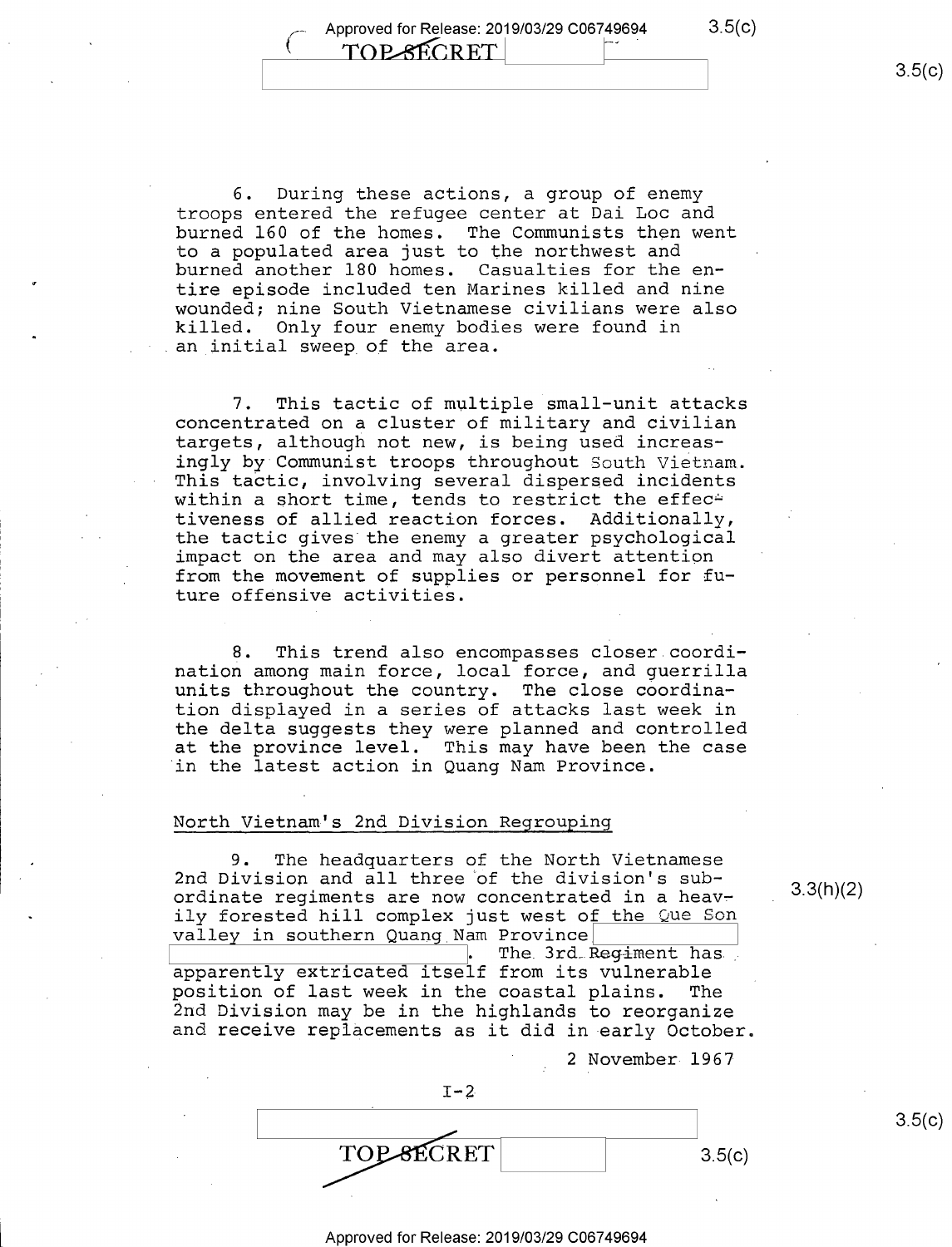6. During these actions, a group of enemy troops entered the refugee center at Dai Loc and burned 160 of the homes. The Communists then went to a populated area just to the northwest and burned another 180 homes. Casualties for the entire episode included ten Marines killed and nine wounded; nine South Vietnamese civilians were also killed. Only four enemy bodies were found in an initial sweep of the area.

7. This tactic of multiple small-unit attacks concentrated on a cluster of military and civilian targets, although not new, is being used increasingly by Communist troops throughout South Vietnam. This tactic, involving several dispersed incidents within a short time, tends to restrict the effec $\div$ tiveness of allied reaction forces. Additionally, the tactic gives the enemy a greater psychological impact on the area and may also divert attention from the movement of supplies or personnel for future offensive activities.

8. This trend also encompasses closer coordination among main force, local force, and guerrilla units throughout the country. The close coordination displayed in a series of attacks last week in the delta suggests they were planned and controlled at the province level. This may have been the case in the latest action in Quang Nam Province.

#### North Vietnam's 2nd Division Regrouping

9. The headquarters of the North Vietnamese 2nd Division and all three of the division's subordinate regiments are now concentrated in a heavily forested hill complex just west of the Que Son valley in southern Quang Nam Province

The 3rd Regiment has apparently extricated itself from its vulnerable position of last week in the coastal plains. The<br>2nd Division may be in the highlands to reorganize and receive replacements as it did in early October.

 $I-2$  $\sqrt{\frac{1}{200}}$  $3.5(c)$ 

<sup>2</sup>November 1967

3.3(h)(2)

 $3.5(c)$ 

#### Approved for Release: 2019/03/29 C06749694

 $3.5(c)$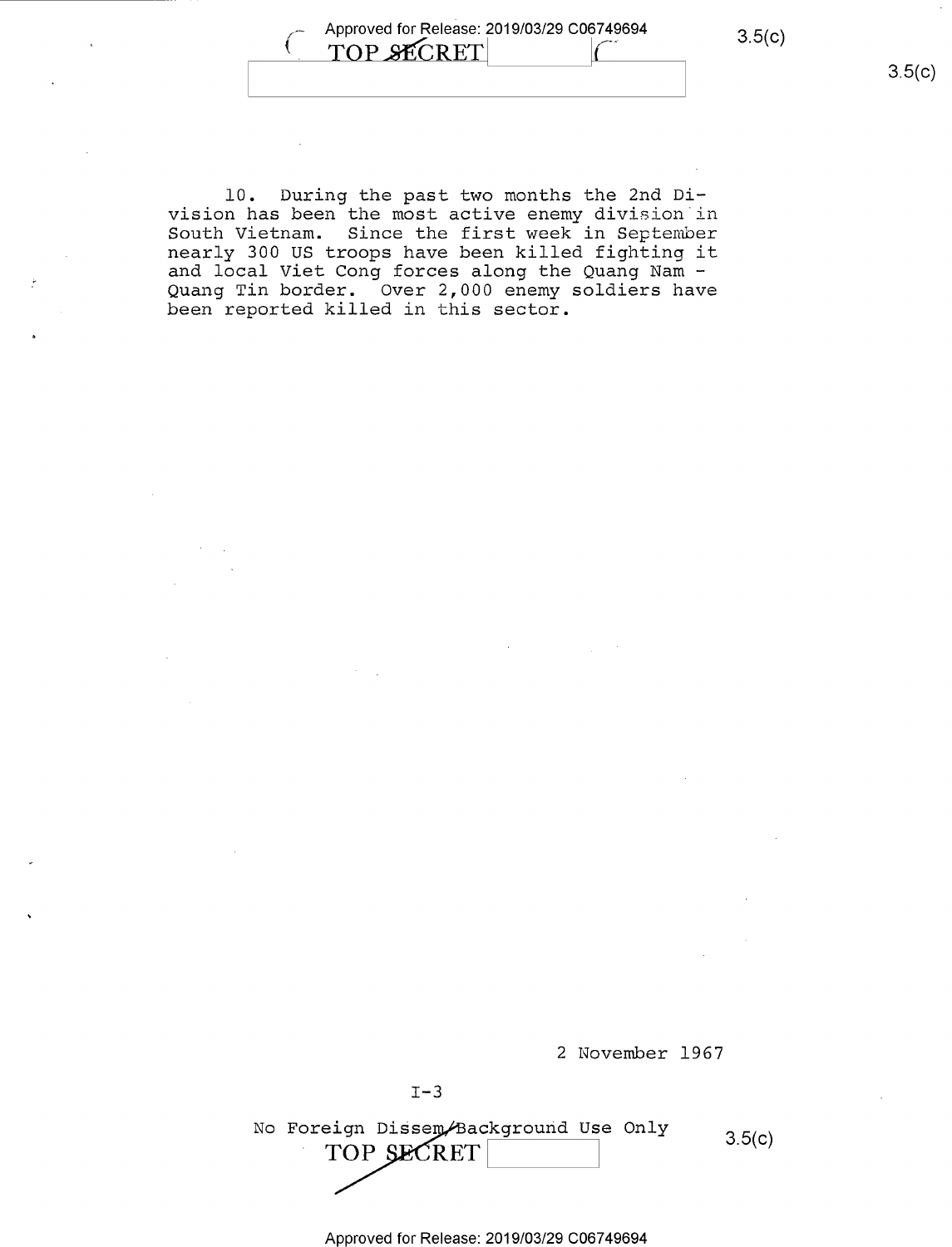Approved for Release: 2019/03/29 C06749694 3.5(c) Л, TOP SECRET

10. During the past two months the 2nd Division has been the most active enemy division in South Vietnam. Since the first week in September nearly 300 US troops have been killed fighting it and local Viet Cong forces along the Quang Nam -Quang Tin border. Over 2,000 enemy soldiers have been reported killed in this sector.



2 November 1967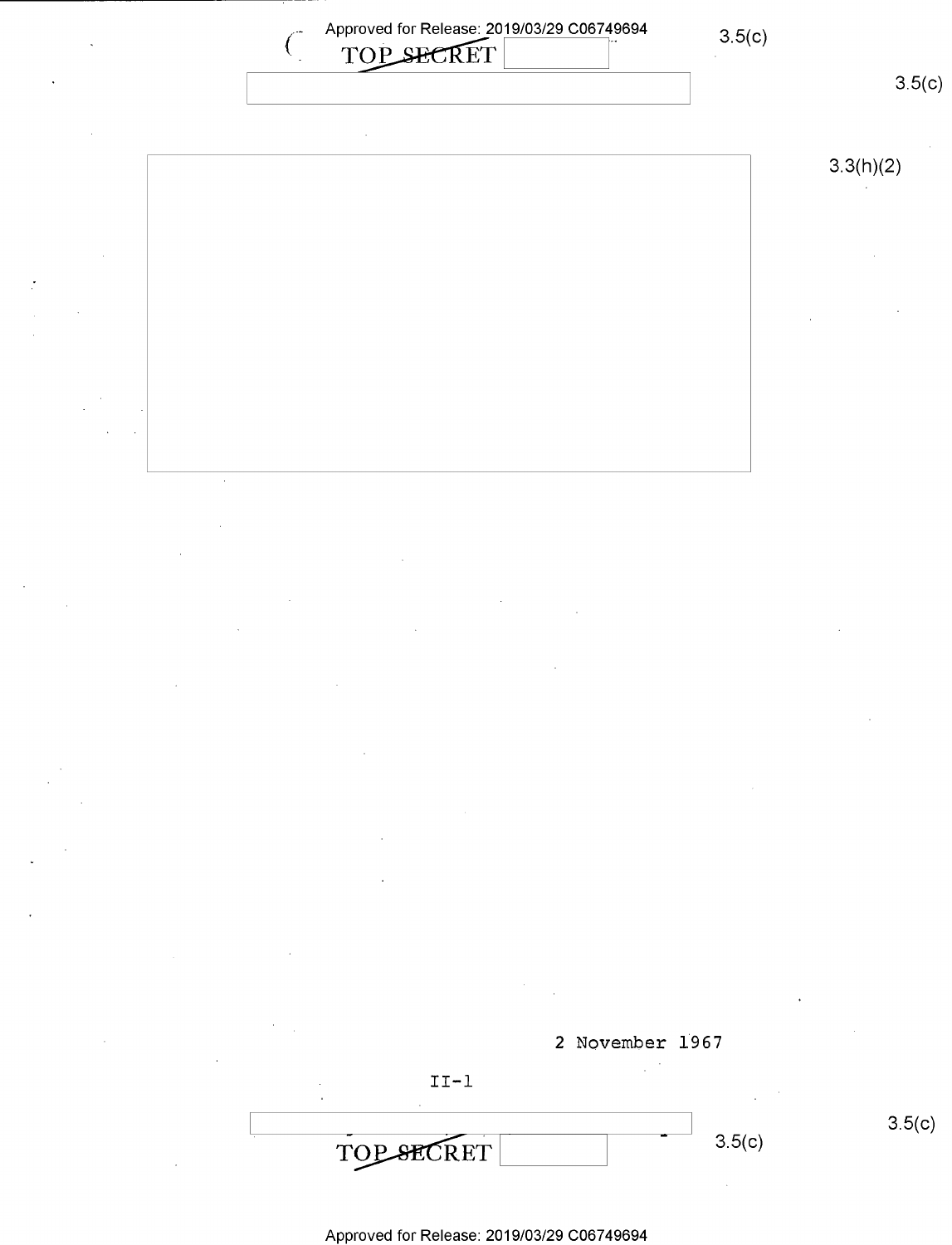

2 November 1967  $II-1$ \_ \_ \ s.5(¢)  $3.5(c)$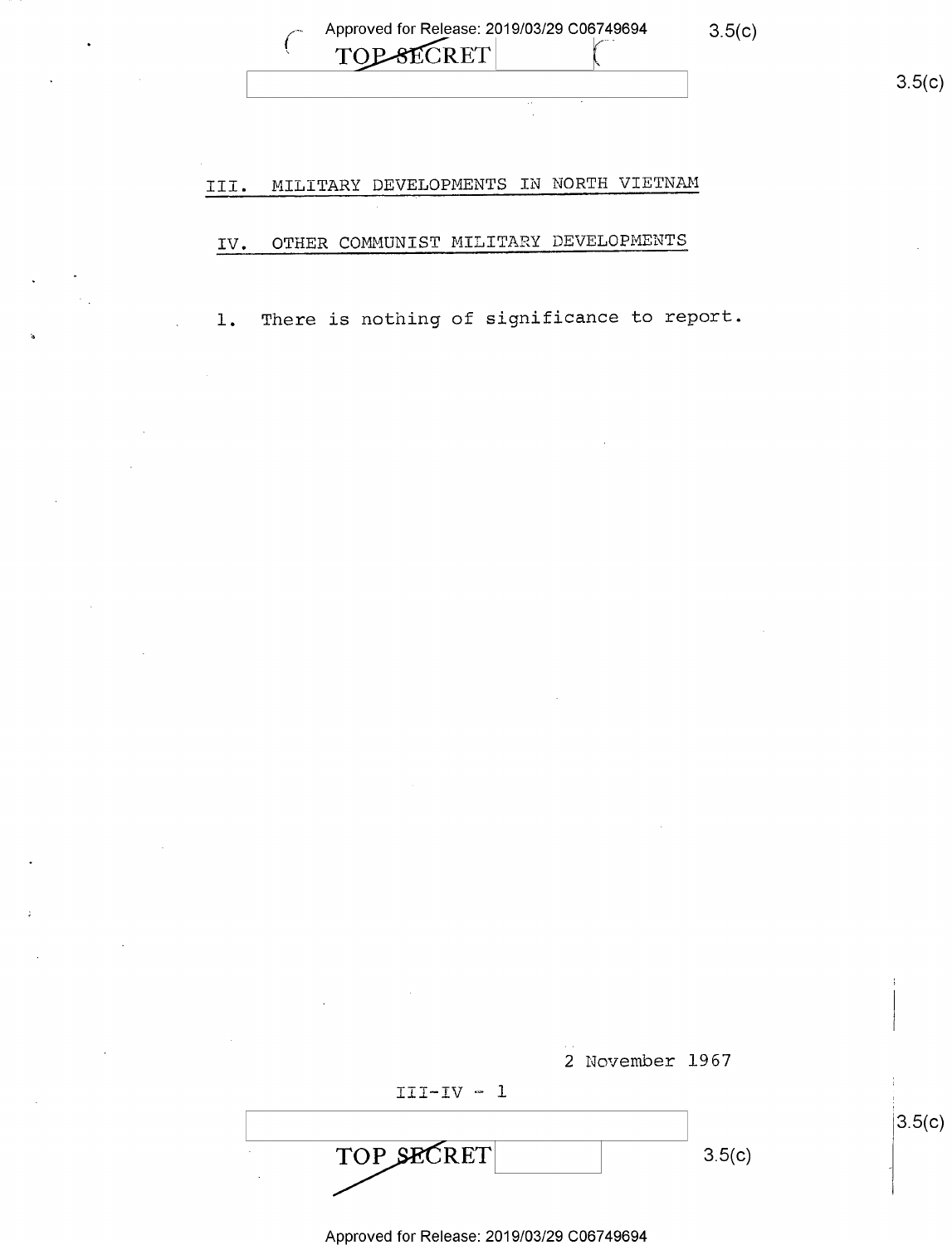Approved for Release: 2019/03/29 C06749694 3.5(c) TOP-SECRET

 $3.5(c)$ 

 $3.5(c)$ 

### III. MILITARY DEVELOPMENTS IN NORTH VIETNAM

### IV. OTHER COMMUNIST MILITARY DEVELOPMENTS

l. There is nothing of significance to report.

|            | 2 November 1967 |  |
|------------|-----------------|--|
| $III-IV-1$ |                 |  |
| TOP SECRET | 3.5(c)          |  |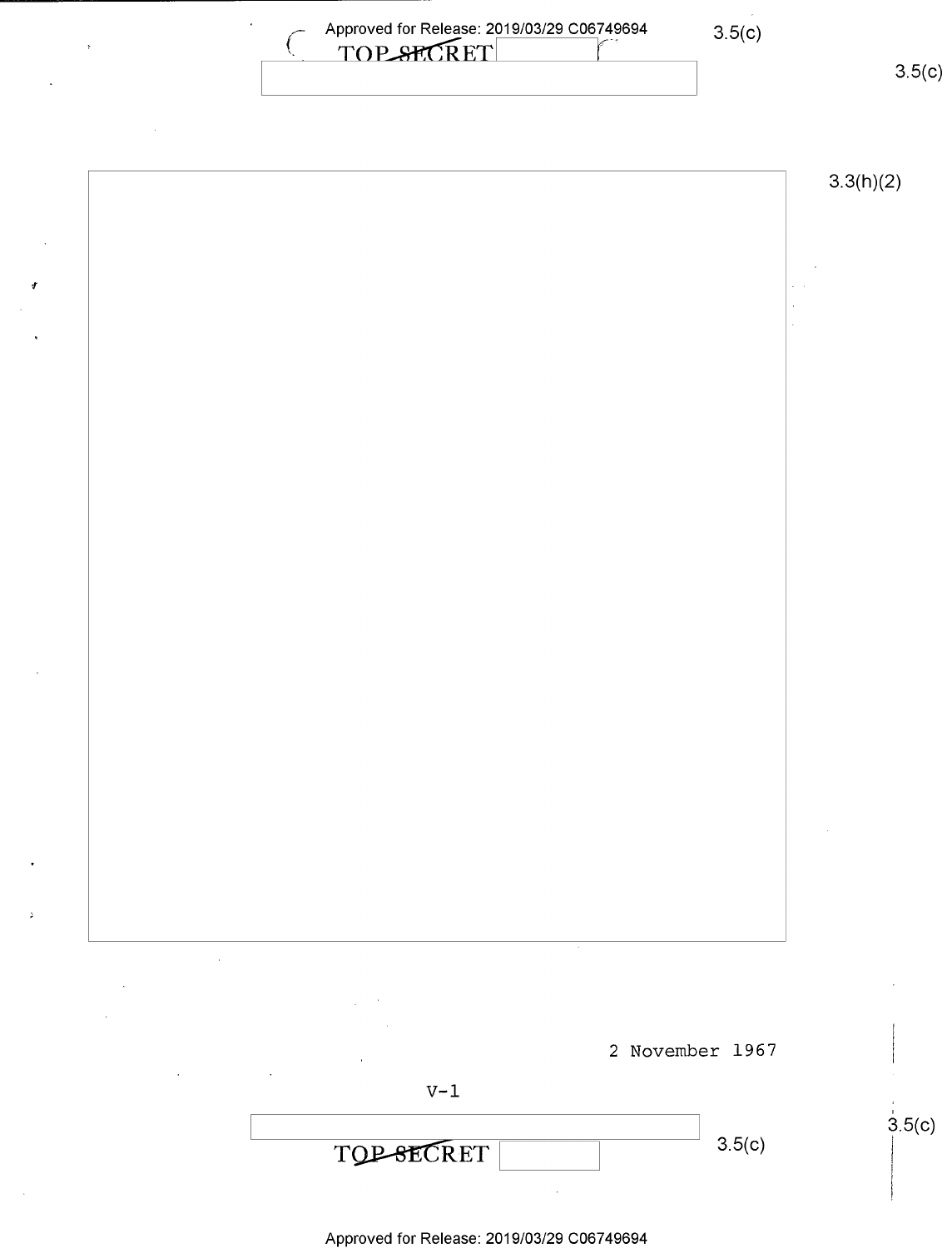| Approved for Release: 2019/03/29 C06749694<br>TOP SPORT | 3.5(c) |     |
|---------------------------------------------------------|--------|-----|
|                                                         |        | 250 |